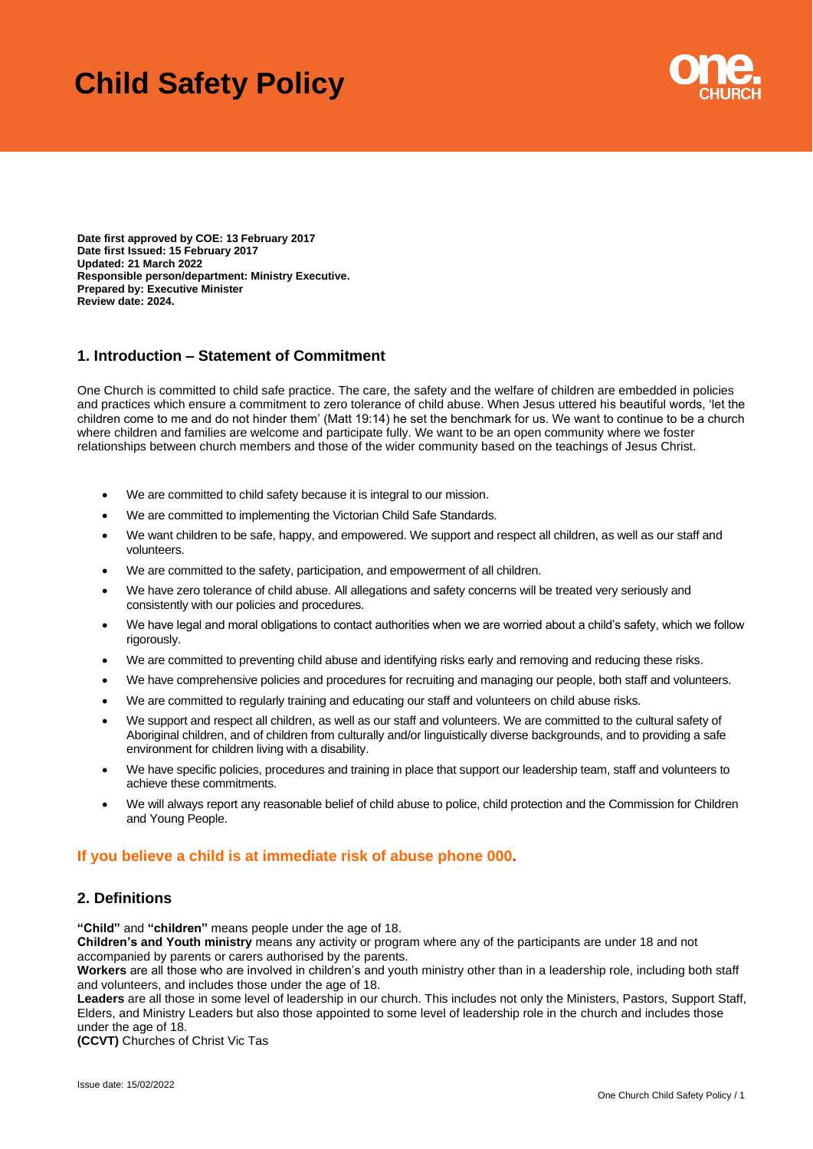# **Child Safety Policy**



**Date first approved by COE: 13 February 2017 Date first Issued: 15 February 2017 Updated: 21 March 2022 Responsible person/department: Ministry Executive. Prepared by: Executive Minister Review date: 2024.**

# **1. Introduction – Statement of Commitment**

One Church is committed to child safe practice. The care, the safety and the welfare of children are embedded in policies and practices which ensure a commitment to zero tolerance of child abuse. When Jesus uttered his beautiful words, 'let the children come to me and do not hinder them' (Matt 19:14) he set the benchmark for us. We want to continue to be a church where children and families are welcome and participate fully. We want to be an open community where we foster relationships between church members and those of the wider community based on the teachings of Jesus Christ.

- We are committed to child safety because it is integral to our mission.
- We are committed to implementing the Victorian Child Safe Standards.
- We want children to be safe, happy, and empowered. We support and respect all children, as well as our staff and volunteers.
- We are committed to the safety, participation, and empowerment of all children.
- We have zero tolerance of child abuse. All allegations and safety concerns will be treated very seriously and consistently with our policies and procedures.
- We have legal and moral obligations to contact authorities when we are worried about a child's safety, which we follow rigorously.
- We are committed to preventing child abuse and identifying risks early and removing and reducing these risks.
- We have comprehensive policies and procedures for recruiting and managing our people, both staff and volunteers.
- We are committed to regularly training and educating our staff and volunteers on child abuse risks.
- We support and respect all children, as well as our staff and volunteers. We are committed to the cultural safety of Aboriginal children, and of children from culturally and/or linguistically diverse backgrounds, and to providing a safe environment for children living with a disability.
- We have specific policies, procedures and training in place that support our leadership team, staff and volunteers to achieve these commitments.
- We will always report any reasonable belief of child abuse to police, child protection and the Commission for Children and Young People.

# **If you believe a child is at immediate risk of abuse phone 000.**

# **2. Definitions**

**"Child"** and **"children"** means people under the age of 18.

**Children's and Youth ministry** means any activity or program where any of the participants are under 18 and not accompanied by parents or carers authorised by the parents.

**Workers** are all those who are involved in children's and youth ministry other than in a leadership role, including both staff and volunteers, and includes those under the age of 18.

**Leaders** are all those in some level of leadership in our church. This includes not only the Ministers, Pastors, Support Staff, Elders, and Ministry Leaders but also those appointed to some level of leadership role in the church and includes those under the age of 18.

**(CCVT)** Churches of Christ Vic Tas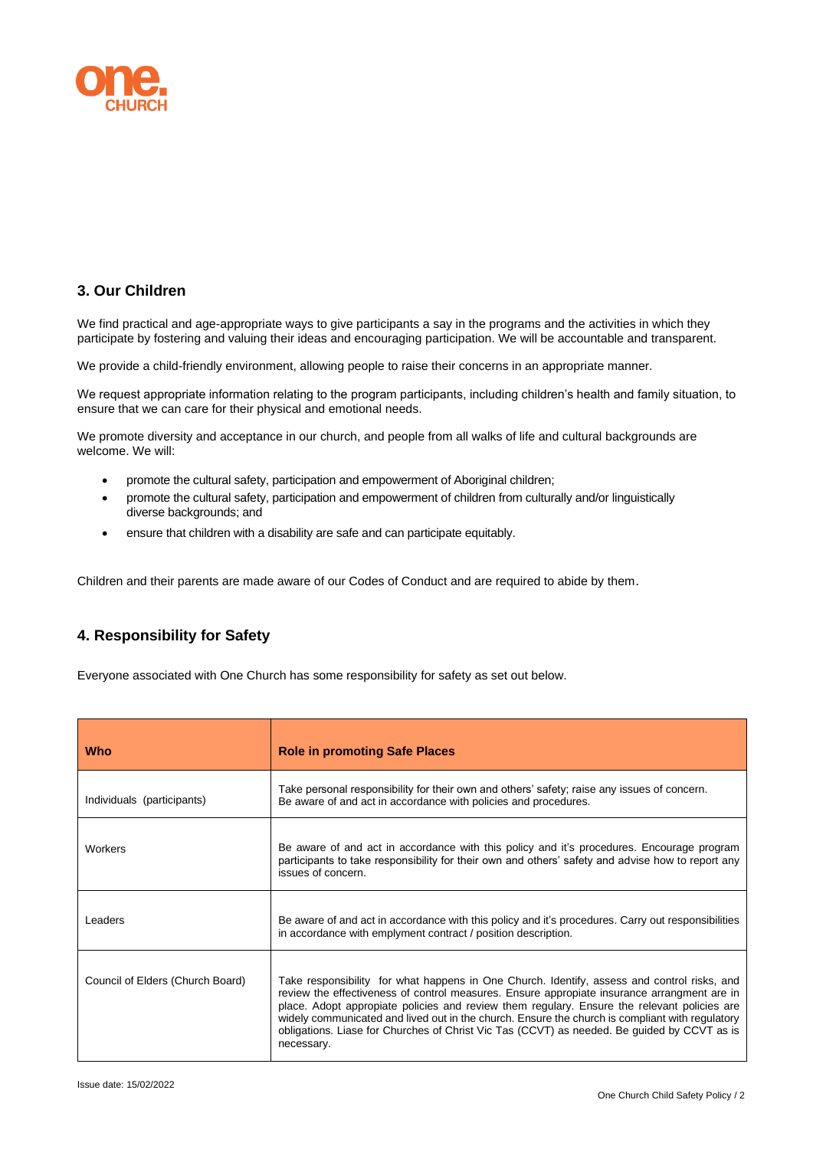

# **3. Our Children**

We find practical and age-appropriate ways to give participants a say in the programs and the activities in which they participate by fostering and valuing their ideas and encouraging participation. We will be accountable and transparent.

We provide a child-friendly environment, allowing people to raise their concerns in an appropriate manner.

We request appropriate information relating to the program participants, including children's health and family situation, to ensure that we can care for their physical and emotional needs.

We promote diversity and acceptance in our church, and people from all walks of life and cultural backgrounds are welcome. We will:

- promote the cultural safety, participation and empowerment of Aboriginal children;
- promote the cultural safety, participation and empowerment of children from culturally and/or linguistically diverse backgrounds; and
- ensure that children with a disability are safe and can participate equitably.

Children and their parents are made aware of our Codes of Conduct and are required to abide by them.

## **4. Responsibility for Safety**

Everyone associated with One Church has some responsibility for safety as set out below.

| Who                              | <b>Role in promoting Safe Places</b>                                                                                                                                                                                                                                                                                                                                                                                                                                                                      |
|----------------------------------|-----------------------------------------------------------------------------------------------------------------------------------------------------------------------------------------------------------------------------------------------------------------------------------------------------------------------------------------------------------------------------------------------------------------------------------------------------------------------------------------------------------|
| Individuals (participants)       | Take personal responsibility for their own and others' safety; raise any issues of concern.<br>Be aware of and act in accordance with policies and procedures.                                                                                                                                                                                                                                                                                                                                            |
| Workers                          | Be aware of and act in accordance with this policy and it's procedures. Encourage program<br>participants to take responsibility for their own and others' safety and advise how to report any<br>issues of concern.                                                                                                                                                                                                                                                                                      |
| Leaders                          | Be aware of and act in accordance with this policy and it's procedures. Carry out responsibilities<br>in accordance with emplyment contract / position description.                                                                                                                                                                                                                                                                                                                                       |
| Council of Elders (Church Board) | Take responsibility for what happens in One Church. Identify, assess and control risks, and<br>review the effectiveness of control measures. Ensure appropiate insurance arrangment are in<br>place. Adopt appropiate policies and review them regulary. Ensure the relevant policies are<br>widely communicated and lived out in the church. Ensure the church is compliant with regulatory<br>obligations. Liase for Churches of Christ Vic Tas (CCVT) as needed. Be quided by CCVT as is<br>necessary. |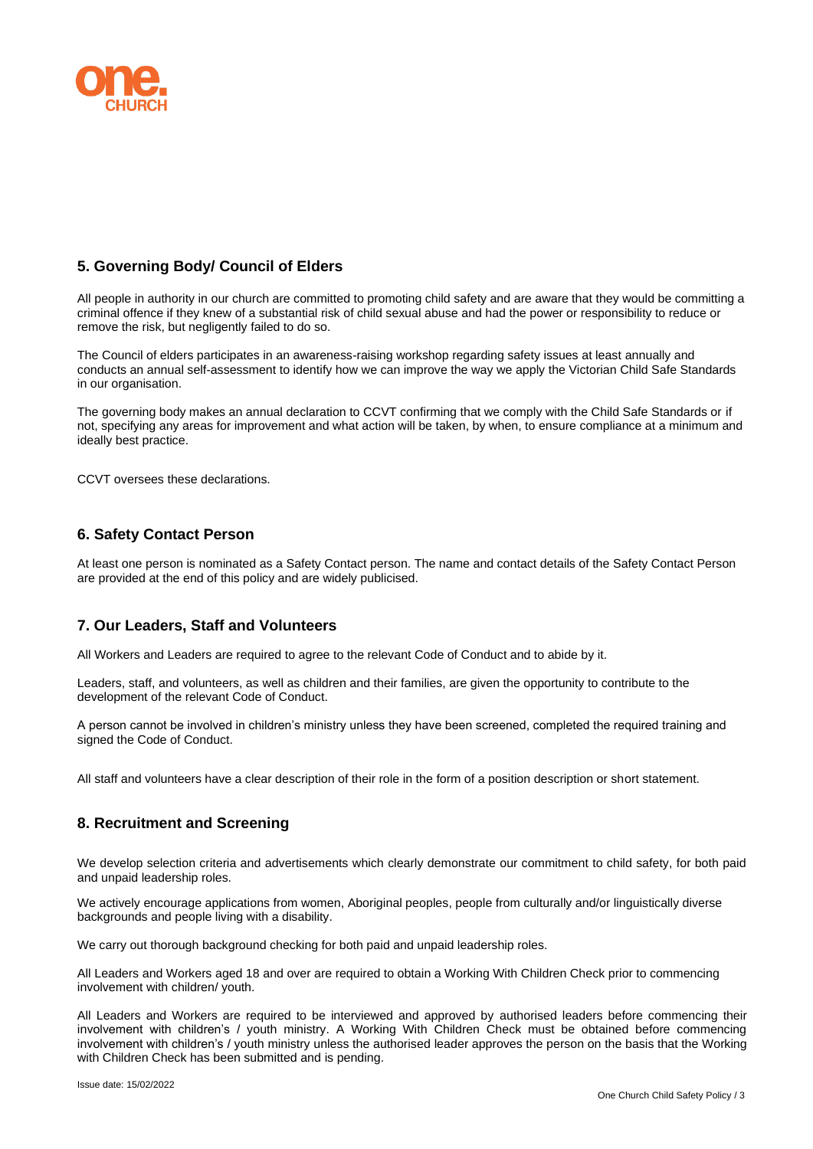

## **5. Governing Body/ Council of Elders**

All people in authority in our church are committed to promoting child safety and are aware that they would be committing a criminal offence if they knew of a substantial risk of child sexual abuse and had the power or responsibility to reduce or remove the risk, but negligently failed to do so.

The Council of elders participates in an awareness-raising workshop regarding safety issues at least annually and conducts an annual self-assessment to identify how we can improve the way we apply the Victorian Child Safe Standards in our organisation.

The governing body makes an annual declaration to CCVT confirming that we comply with the Child Safe Standards or if not, specifying any areas for improvement and what action will be taken, by when, to ensure compliance at a minimum and ideally best practice.

CCVT oversees these declarations.

## **6. Safety Contact Person**

At least one person is nominated as a Safety Contact person. The name and contact details of the Safety Contact Person are provided at the end of this policy and are widely publicised.

#### **7. Our Leaders, Staff and Volunteers**

All Workers and Leaders are required to agree to the relevant Code of Conduct and to abide by it.

Leaders, staff, and volunteers, as well as children and their families, are given the opportunity to contribute to the development of the relevant Code of Conduct.

A person cannot be involved in children's ministry unless they have been screened, completed the required training and signed the Code of Conduct.

All staff and volunteers have a clear description of their role in the form of a position description or short statement.

## **8. Recruitment and Screening**

We develop selection criteria and advertisements which clearly demonstrate our commitment to child safety, for both paid and unpaid leadership roles.

We actively encourage applications from women, Aboriginal peoples, people from culturally and/or linguistically diverse backgrounds and people living with a disability.

We carry out thorough background checking for both paid and unpaid leadership roles.

All Leaders and Workers aged 18 and over are required to obtain a Working With Children Check prior to commencing involvement with children/ youth.

All Leaders and Workers are required to be interviewed and approved by authorised leaders before commencing their involvement with children's / youth ministry. A Working With Children Check must be obtained before commencing involvement with children's / youth ministry unless the authorised leader approves the person on the basis that the Working with Children Check has been submitted and is pending.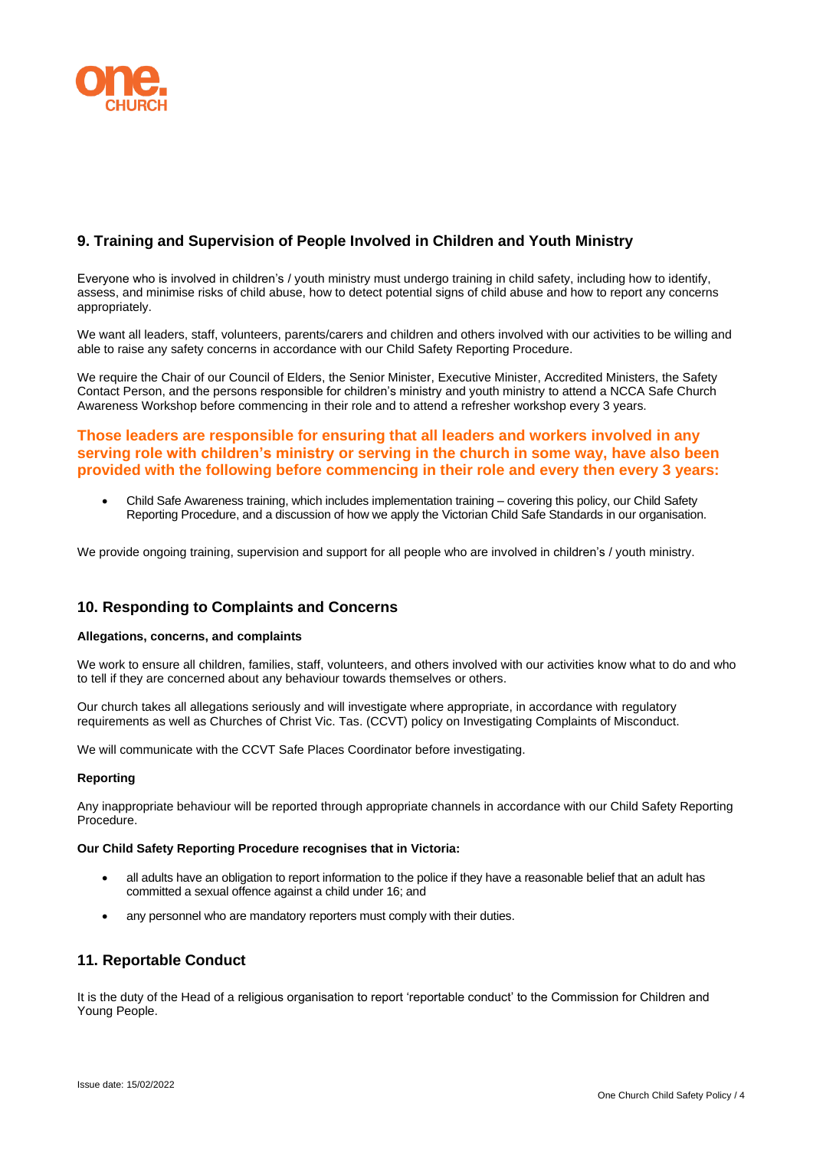

## **9. Training and Supervision of People Involved in Children and Youth Ministry**

Everyone who is involved in children's / youth ministry must undergo training in child safety, including how to identify, assess, and minimise risks of child abuse, how to detect potential signs of child abuse and how to report any concerns appropriately.

We want all leaders, staff, volunteers, parents/carers and children and others involved with our activities to be willing and able to raise any safety concerns in accordance with our Child Safety Reporting Procedure.

We require the Chair of our Council of Elders, the Senior Minister, Executive Minister, Accredited Ministers, the Safety Contact Person, and the persons responsible for children's ministry and youth ministry to attend a NCCA Safe Church Awareness Workshop before commencing in their role and to attend a refresher workshop every 3 years.

## **Those leaders are responsible for ensuring that all leaders and workers involved in any serving role with children's ministry or serving in the church in some way, have also been provided with the following before commencing in their role and every then every 3 years:**

• Child Safe Awareness training, which includes implementation training – covering this policy, our Child Safety Reporting Procedure, and a discussion of how we apply the Victorian Child Safe Standards in our organisation.

We provide ongoing training, supervision and support for all people who are involved in children's / youth ministry.

## **10. Responding to Complaints and Concerns**

#### **Allegations, concerns, and complaints**

We work to ensure all children, families, staff, volunteers, and others involved with our activities know what to do and who to tell if they are concerned about any behaviour towards themselves or others.

Our church takes all allegations seriously and will investigate where appropriate, in accordance with regulatory requirements as well as Churches of Christ Vic. Tas. (CCVT) policy on Investigating Complaints of Misconduct.

We will communicate with the CCVT Safe Places Coordinator before investigating.

#### **Reporting**

Any inappropriate behaviour will be reported through appropriate channels in accordance with our Child Safety Reporting Procedure.

#### **Our Child Safety Reporting Procedure recognises that in Victoria:**

- all adults have an obligation to report information to the police if they have a reasonable belief that an adult has committed a sexual offence against a child under 16; and
- any personnel who are mandatory reporters must comply with their duties.

## **11. Reportable Conduct**

It is the duty of the Head of a religious organisation to report 'reportable conduct' to the Commission for Children and Young People.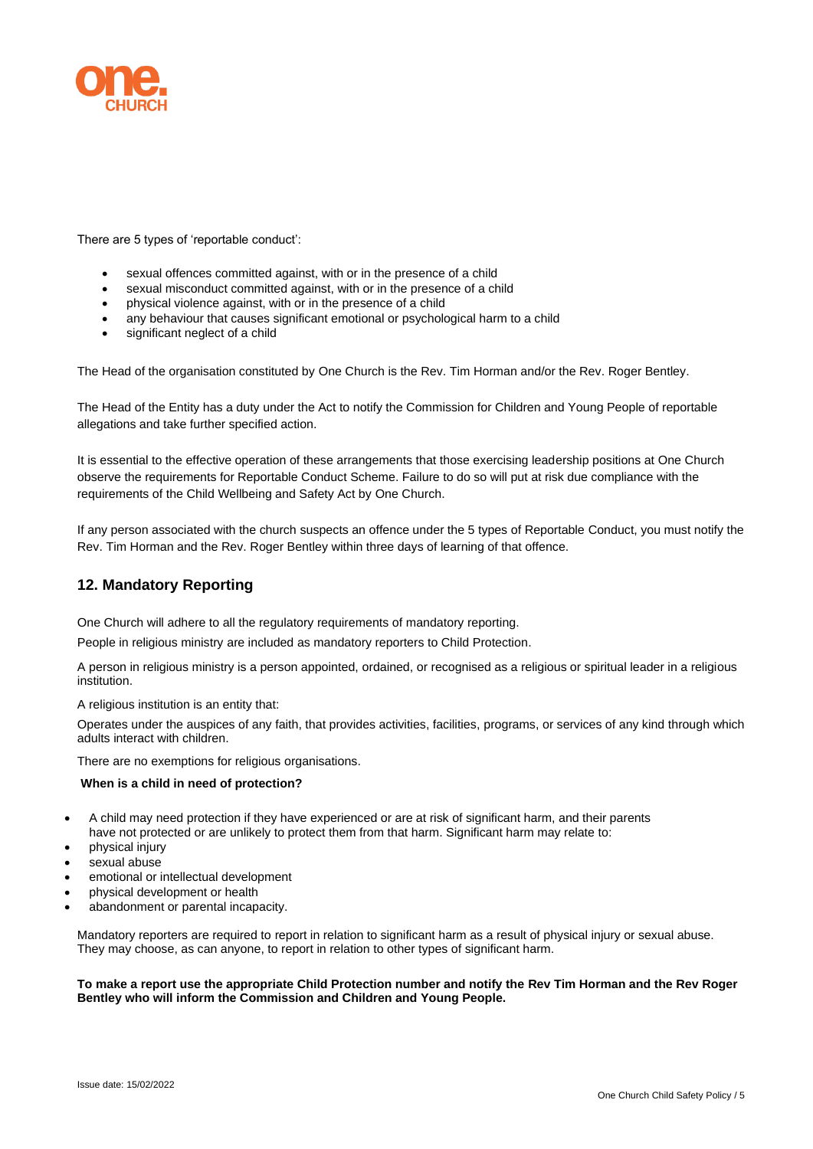

There are 5 types of 'reportable conduct':

- sexual offences committed against, with or in the presence of a child
- sexual misconduct committed against, with or in the presence of a child
- physical violence against, with or in the presence of a child
- any behaviour that causes significant emotional or psychological harm to a child
- significant neglect of a child

The Head of the organisation constituted by One Church is the Rev. Tim Horman and/or the Rev. Roger Bentley.

The Head of the Entity has a duty under the Act to notify the Commission for Children and Young People of reportable allegations and take further specified action.

It is essential to the effective operation of these arrangements that those exercising leadership positions at One Church observe the requirements for Reportable Conduct Scheme. Failure to do so will put at risk due compliance with the requirements of the Child Wellbeing and Safety Act by One Church.

If any person associated with the church suspects an offence under the 5 types of Reportable Conduct, you must notify the Rev. Tim Horman and the Rev. Roger Bentley within three days of learning of that offence.

# **12. Mandatory Reporting**

One Church will adhere to all the regulatory requirements of mandatory reporting.

People in religious ministry are included as mandatory reporters to Child Protection.

A person in religious ministry is a person appointed, ordained, or recognised as a religious or spiritual leader in a religious institution.

A religious institution is an entity that:

Operates under the auspices of any faith, that provides activities, facilities, programs, or services of any kind through which adults interact with children.

There are no exemptions for religious organisations.

#### **When is a child in need of protection?**

- A child may need protection if they have experienced or are at risk of significant harm, and their parents have not protected or are unlikely to protect them from that harm. Significant harm may relate to:
- physical injury
- sexual abuse
- emotional or intellectual development
- physical development or health
- abandonment or parental incapacity.

Mandatory reporters are required to report in relation to significant harm as a result of physical injury or sexual abuse. They may choose, as can anyone, to report in relation to other types of significant harm.

#### **To make a report use the appropriate Child Protection number and notify the Rev Tim Horman and the Rev Roger Bentley who will inform the Commission and Children and Young People.**